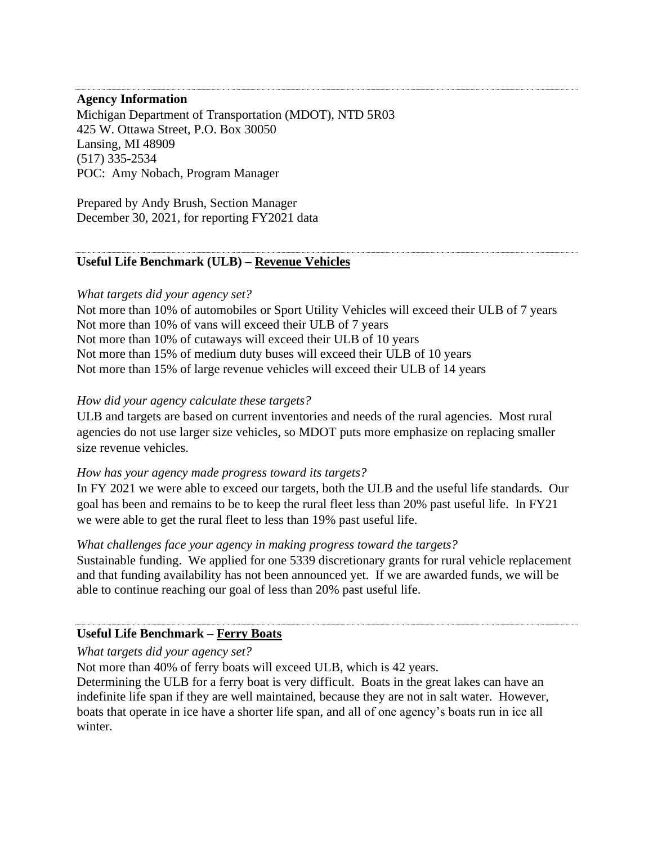#### **Agency Information**

Michigan Department of Transportation (MDOT), NTD 5R03 425 W. Ottawa Street, P.O. Box 30050 Lansing, MI 48909 (517) 335-2534 POC: Amy Nobach, Program Manager

Prepared by Andy Brush, Section Manager December 30, 2021, for reporting FY2021 data

# **Useful Life Benchmark (ULB) – Revenue Vehicles**

#### *What targets did your agency set?*

Not more than 10% of automobiles or Sport Utility Vehicles will exceed their ULB of 7 years Not more than 10% of vans will exceed their ULB of 7 years Not more than 10% of cutaways will exceed their ULB of 10 years Not more than 15% of medium duty buses will exceed their ULB of 10 years Not more than 15% of large revenue vehicles will exceed their ULB of 14 years

## *How did your agency calculate these targets?*

ULB and targets are based on current inventories and needs of the rural agencies. Most rural agencies do not use larger size vehicles, so MDOT puts more emphasize on replacing smaller size revenue vehicles.

#### *How has your agency made progress toward its targets?*

In FY 2021 we were able to exceed our targets, both the ULB and the useful life standards. Our goal has been and remains to be to keep the rural fleet less than 20% past useful life. In FY21 we were able to get the rural fleet to less than 19% past useful life.

## *What challenges face your agency in making progress toward the targets?*

Sustainable funding. We applied for one 5339 discretionary grants for rural vehicle replacement and that funding availability has not been announced yet. If we are awarded funds, we will be able to continue reaching our goal of less than 20% past useful life.

## **Useful Life Benchmark – Ferry Boats**

## *What targets did your agency set?*

Not more than 40% of ferry boats will exceed ULB, which is 42 years.

Determining the ULB for a ferry boat is very difficult. Boats in the great lakes can have an indefinite life span if they are well maintained, because they are not in salt water. However, boats that operate in ice have a shorter life span, and all of one agency's boats run in ice all winter.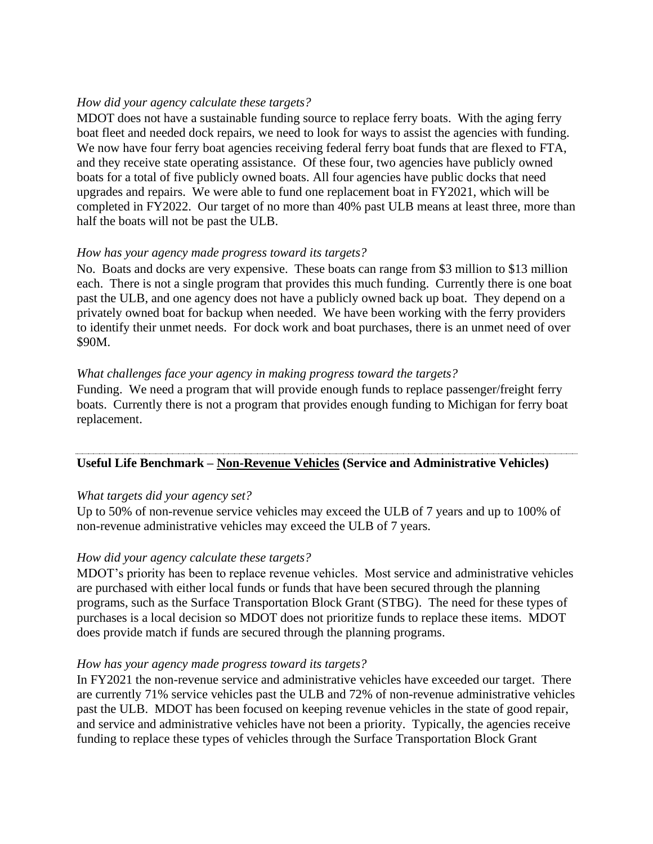## *How did your agency calculate these targets?*

MDOT does not have a sustainable funding source to replace ferry boats. With the aging ferry boat fleet and needed dock repairs, we need to look for ways to assist the agencies with funding. We now have four ferry boat agencies receiving federal ferry boat funds that are flexed to FTA, and they receive state operating assistance. Of these four, two agencies have publicly owned boats for a total of five publicly owned boats. All four agencies have public docks that need upgrades and repairs. We were able to fund one replacement boat in FY2021, which will be completed in FY2022. Our target of no more than 40% past ULB means at least three, more than half the boats will not be past the ULB.

# *How has your agency made progress toward its targets?*

No. Boats and docks are very expensive. These boats can range from \$3 million to \$13 million each. There is not a single program that provides this much funding. Currently there is one boat past the ULB, and one agency does not have a publicly owned back up boat. They depend on a privately owned boat for backup when needed. We have been working with the ferry providers to identify their unmet needs. For dock work and boat purchases, there is an unmet need of over \$90M.

# *What challenges face your agency in making progress toward the targets?*

Funding. We need a program that will provide enough funds to replace passenger/freight ferry boats. Currently there is not a program that provides enough funding to Michigan for ferry boat replacement.

# **Useful Life Benchmark – Non-Revenue Vehicles (Service and Administrative Vehicles)**

## *What targets did your agency set?*

Up to 50% of non-revenue service vehicles may exceed the ULB of 7 years and up to 100% of non-revenue administrative vehicles may exceed the ULB of 7 years.

## *How did your agency calculate these targets?*

MDOT's priority has been to replace revenue vehicles. Most service and administrative vehicles are purchased with either local funds or funds that have been secured through the planning programs, such as the Surface Transportation Block Grant (STBG). The need for these types of purchases is a local decision so MDOT does not prioritize funds to replace these items. MDOT does provide match if funds are secured through the planning programs.

## *How has your agency made progress toward its targets?*

In FY2021 the non-revenue service and administrative vehicles have exceeded our target. There are currently 71% service vehicles past the ULB and 72% of non-revenue administrative vehicles past the ULB. MDOT has been focused on keeping revenue vehicles in the state of good repair, and service and administrative vehicles have not been a priority. Typically, the agencies receive funding to replace these types of vehicles through the Surface Transportation Block Grant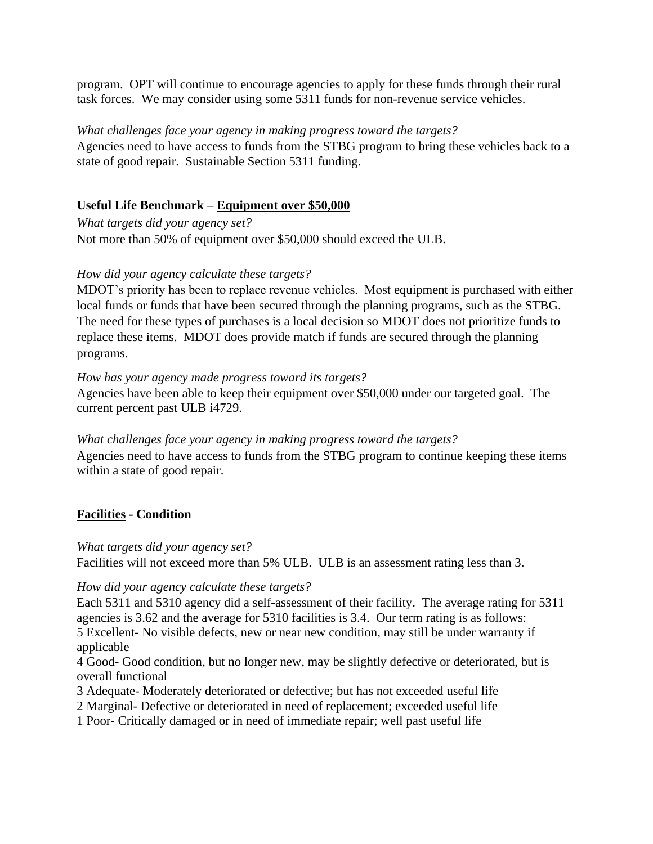program. OPT will continue to encourage agencies to apply for these funds through their rural task forces. We may consider using some 5311 funds for non-revenue service vehicles.

#### *What challenges face your agency in making progress toward the targets?*

Agencies need to have access to funds from the STBG program to bring these vehicles back to a state of good repair. Sustainable Section 5311 funding.

## **Useful Life Benchmark – Equipment over \$50,000**

*What targets did your agency set?*

Not more than 50% of equipment over \$50,000 should exceed the ULB.

# *How did your agency calculate these targets?*

MDOT's priority has been to replace revenue vehicles. Most equipment is purchased with either local funds or funds that have been secured through the planning programs, such as the STBG. The need for these types of purchases is a local decision so MDOT does not prioritize funds to replace these items. MDOT does provide match if funds are secured through the planning programs.

## *How has your agency made progress toward its targets?*

Agencies have been able to keep their equipment over \$50,000 under our targeted goal. The current percent past ULB i4729.

*What challenges face your agency in making progress toward the targets?* Agencies need to have access to funds from the STBG program to continue keeping these items within a state of good repair.

## **Facilities - Condition**

## *What targets did your agency set?*

Facilities will not exceed more than 5% ULB. ULB is an assessment rating less than 3.

## *How did your agency calculate these targets?*

Each 5311 and 5310 agency did a self-assessment of their facility. The average rating for 5311 agencies is 3.62 and the average for 5310 facilities is 3.4. Our term rating is as follows: 5 Excellent- No visible defects, new or near new condition, may still be under warranty if applicable

4 Good- Good condition, but no longer new, may be slightly defective or deteriorated, but is overall functional

- 3 Adequate- Moderately deteriorated or defective; but has not exceeded useful life
- 2 Marginal- Defective or deteriorated in need of replacement; exceeded useful life

1 Poor- Critically damaged or in need of immediate repair; well past useful life